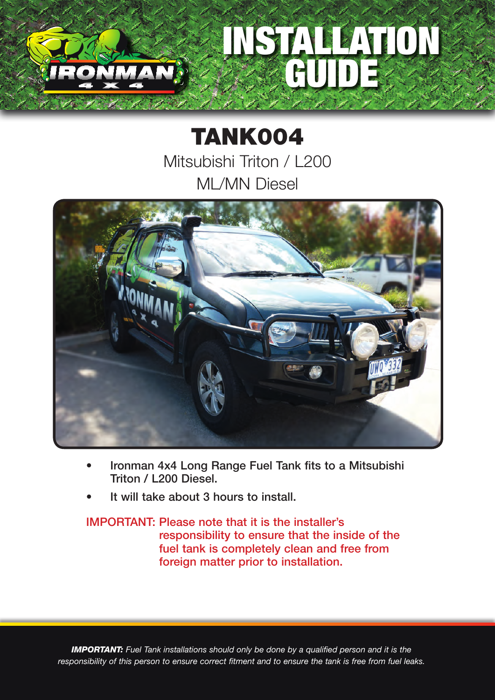## INSTALLATION GUIDE

## TANK004 Mitsubishi Triton / L200 ML/MN Diesel



- Ironman 4x4 Long Range Fuel Tank fits to a Mitsubishi Triton / L200 Diesel.
- It will take about 3 hours to install.

## IMPORTANT: Please note that it is the installer's responsibility to ensure that the inside of the fuel tank is completely clean and free from foreign matter prior to installation.

*IMPORTANT: Fuel Tank installations should only be done by a qualified person and it is the responsibility of this person to ensure correct fitment and to ensure the tank is free from fuel leaks.*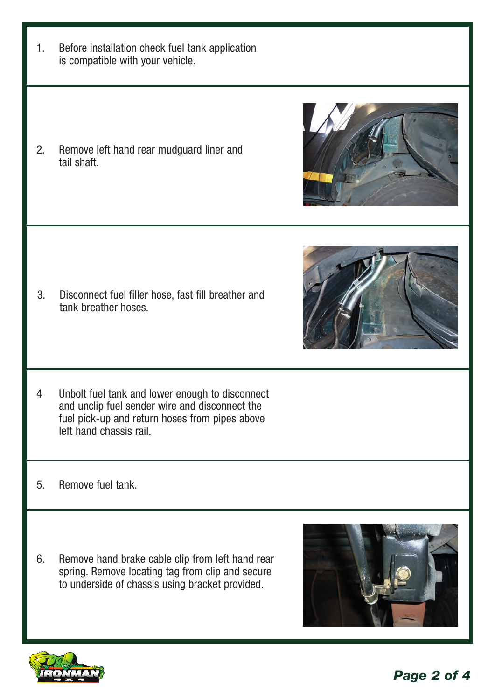1. Before installation check fuel tank application is compatible with your vehicle.

2. Remove left hand rear mudguard liner and tail shaft.

3. Disconnect fuel filler hose, fast fill breather and tank breather hoses.

- 4 Unbolt fuel tank and lower enough to disconnect and unclip fuel sender wire and disconnect the fuel pick-up and return hoses from pipes above left hand chassis rail.
- 5. Remove fuel tank.
- 6. Remove hand brake cable clip from left hand rear spring. Remove locating tag from clip and secure to underside of chassis using bracket provided.









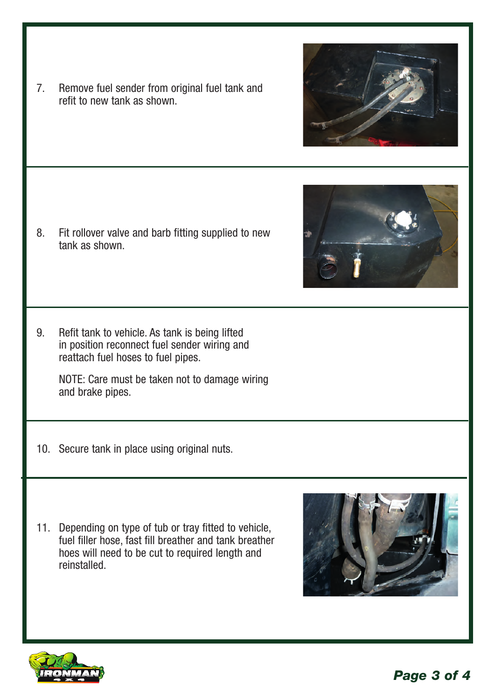- 7. Remove fuel sender from original fuel tank and refit to new tank as shown.
- 

8. Fit rollover valve and barb fitting supplied to new tank as shown.



9. Refit tank to vehicle. As tank is being lifted in position reconnect fuel sender wiring and reattach fuel hoses to fuel pipes.

> NOTE: Care must be taken not to damage wiring and brake pipes.

- 10. Secure tank in place using original nuts.
- 11. Depending on type of tub or tray fitted to vehicle, fuel filler hose, fast fill breather and tank breather hoes will need to be cut to required length and reinstalled.